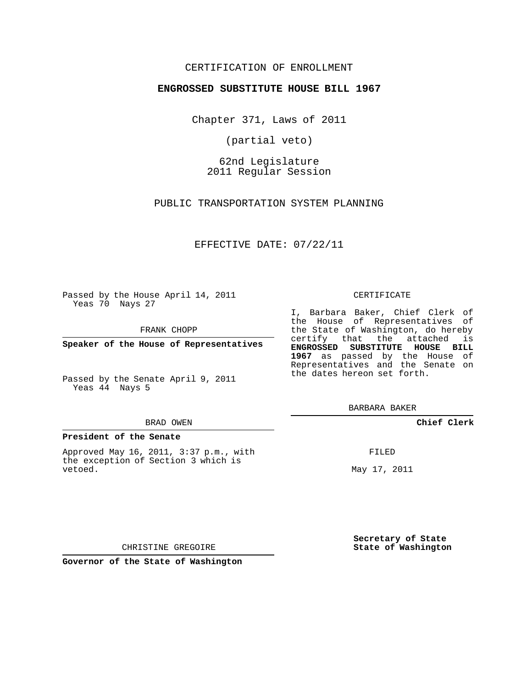## CERTIFICATION OF ENROLLMENT

### **ENGROSSED SUBSTITUTE HOUSE BILL 1967**

Chapter 371, Laws of 2011

(partial veto)

62nd Legislature 2011 Regular Session

PUBLIC TRANSPORTATION SYSTEM PLANNING

EFFECTIVE DATE: 07/22/11

Passed by the House April 14, 2011 Yeas 70 Nays 27

FRANK CHOPP

**Speaker of the House of Representatives**

Passed by the Senate April 9, 2011 Yeas 44 Nays 5

#### **President of the Senate**

Approved May 16, 2011, 3:37 p.m., with the exception of Section 3 which is vetoed.

#### CERTIFICATE

I, Barbara Baker, Chief Clerk of the House of Representatives of the State of Washington, do hereby certify that the attached is **ENGROSSED SUBSTITUTE HOUSE BILL 1967** as passed by the House of Representatives and the Senate on the dates hereon set forth.

BARBARA BAKER

**Chief Clerk**

FILED

May 17, 2011

**Secretary of State State of Washington**

CHRISTINE GREGOIRE

**Governor of the State of Washington**

BRAD OWEN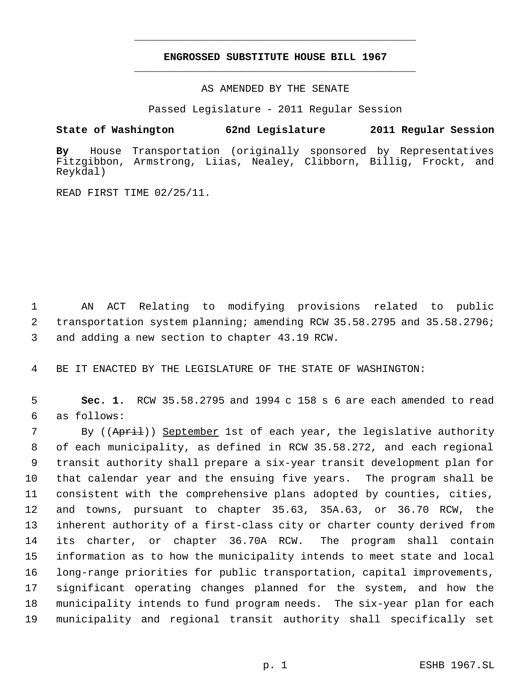# **ENGROSSED SUBSTITUTE HOUSE BILL 1967** \_\_\_\_\_\_\_\_\_\_\_\_\_\_\_\_\_\_\_\_\_\_\_\_\_\_\_\_\_\_\_\_\_\_\_\_\_\_\_\_\_\_\_\_\_

\_\_\_\_\_\_\_\_\_\_\_\_\_\_\_\_\_\_\_\_\_\_\_\_\_\_\_\_\_\_\_\_\_\_\_\_\_\_\_\_\_\_\_\_\_

AS AMENDED BY THE SENATE

Passed Legislature - 2011 Regular Session

**State of Washington 62nd Legislature 2011 Regular Session**

**By** House Transportation (originally sponsored by Representatives Fitzgibbon, Armstrong, Liias, Nealey, Clibborn, Billig, Frockt, and Reykdal)

READ FIRST TIME 02/25/11.

 1 AN ACT Relating to modifying provisions related to public 2 transportation system planning; amending RCW 35.58.2795 and 35.58.2796; 3 and adding a new section to chapter 43.19 RCW.

4 BE IT ENACTED BY THE LEGISLATURE OF THE STATE OF WASHINGTON:

 5 **Sec. 1.** RCW 35.58.2795 and 1994 c 158 s 6 are each amended to read 6 as follows:

7 By ((April)) September 1st of each year, the legislative authority of each municipality, as defined in RCW 35.58.272, and each regional transit authority shall prepare a six-year transit development plan for that calendar year and the ensuing five years. The program shall be consistent with the comprehensive plans adopted by counties, cities, and towns, pursuant to chapter 35.63, 35A.63, or 36.70 RCW, the inherent authority of a first-class city or charter county derived from its charter, or chapter 36.70A RCW. The program shall contain information as to how the municipality intends to meet state and local long-range priorities for public transportation, capital improvements, significant operating changes planned for the system, and how the municipality intends to fund program needs. The six-year plan for each municipality and regional transit authority shall specifically set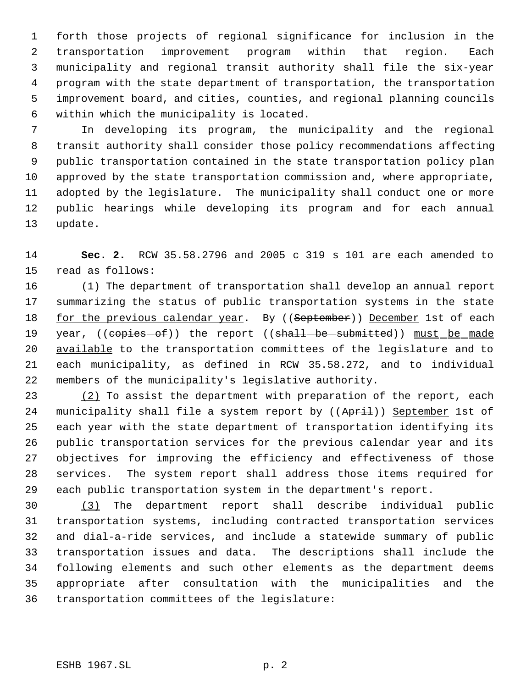forth those projects of regional significance for inclusion in the transportation improvement program within that region. Each municipality and regional transit authority shall file the six-year program with the state department of transportation, the transportation improvement board, and cities, counties, and regional planning councils within which the municipality is located.

 In developing its program, the municipality and the regional transit authority shall consider those policy recommendations affecting public transportation contained in the state transportation policy plan approved by the state transportation commission and, where appropriate, adopted by the legislature. The municipality shall conduct one or more public hearings while developing its program and for each annual update.

 **Sec. 2.** RCW 35.58.2796 and 2005 c 319 s 101 are each amended to read as follows:

 (1) The department of transportation shall develop an annual report summarizing the status of public transportation systems in the state 18 for the previous calendar year. By ((September)) December 1st of each 19 year, ((copies-of)) the report ((shall-be-submitted)) must be made available to the transportation committees of the legislature and to each municipality, as defined in RCW 35.58.272, and to individual members of the municipality's legislative authority.

23 (2) To assist the department with preparation of the report, each 24 municipality shall file a system report by ((April)) September 1st of each year with the state department of transportation identifying its public transportation services for the previous calendar year and its objectives for improving the efficiency and effectiveness of those services. The system report shall address those items required for each public transportation system in the department's report.

 (3) The department report shall describe individual public transportation systems, including contracted transportation services and dial-a-ride services, and include a statewide summary of public transportation issues and data. The descriptions shall include the following elements and such other elements as the department deems appropriate after consultation with the municipalities and the transportation committees of the legislature: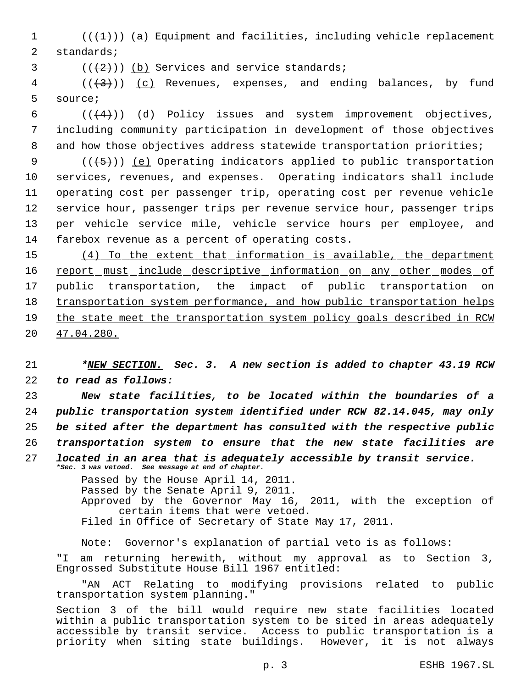1  $((+1))$  (a) Equipment and facilities, including vehicle replacement 2 standards;

 $3$   $((+2)^{n})$  (b) Services and service standards;

 $4$  (( $\left(\frac{1}{3}\right)$ ) (c) Revenues, expenses, and ending balances, by fund 5 source;

6  $((+4))$   $(d)$  Policy issues and system improvement objectives, 7 including community participation in development of those objectives 8 and how those objectives address statewide transportation priorities;

 $((+5))$  (e) Operating indicators applied to public transportation services, revenues, and expenses. Operating indicators shall include operating cost per passenger trip, operating cost per revenue vehicle service hour, passenger trips per revenue service hour, passenger trips per vehicle service mile, vehicle service hours per employee, and farebox revenue as a percent of operating costs.

15 (4) To the extent that information is available, the department 16 report must include descriptive information on any other modes of 17 public transportation, the impact of public transportation on 18 transportation system performance, and how public transportation helps 19 the state meet the transportation system policy goals described in RCW 20 47.04.280.

21 *\*NEW SECTION. Sec. 3. A new section is added to chapter 43.19 RCW* 22 *to read as follows:*

 *New state facilities, to be located within the boundaries of a public transportation system identified under RCW 82.14.045, may only be sited after the department has consulted with the respective public transportation system to ensure that the new state facilities are located in an area that is adequately accessible by transit service. \*Sec. 3 was vetoed. See message at end of chapter.*

> Passed by the House April 14, 2011. Passed by the Senate April 9, 2011. Approved by the Governor May 16, 2011, with the exception of certain items that were vetoed. Filed in Office of Secretary of State May 17, 2011.

Note: Governor's explanation of partial veto is as follows: "I am returning herewith, without my approval as to Section 3, Engrossed Substitute House Bill 1967 entitled:

"AN ACT Relating to modifying provisions related to public transportation system planning."

Section 3 of the bill would require new state facilities located within a public transportation system to be sited in areas adequately accessible by transit service. Access to public transportation is a priority when siting state buildings. However, it is not always